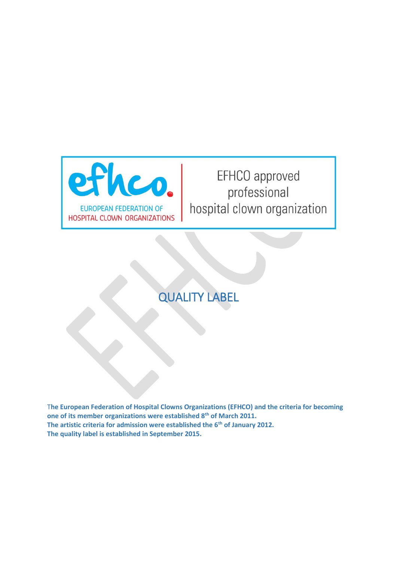

# EFHCO approved professional hospital clown organization

# QUALITY LABEL

T**he European Federation of Hospital Clowns Organizations (EFHCO) and the criteria for becoming one of its member organizations were established 8th of March 2011. The artistic criteria for admission were established the 6th of January 2012. The quality label is established in September 2015.**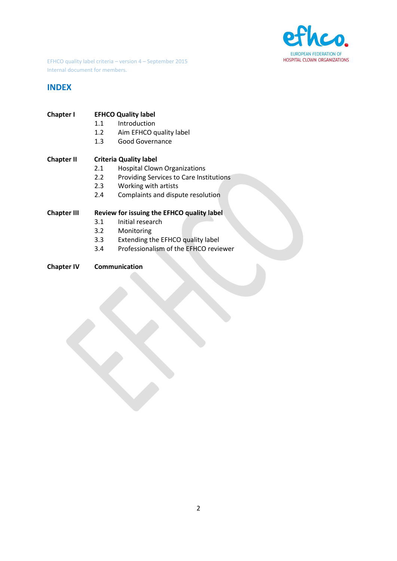

# **INDEX**

| Chapter I | <b>EFHCO Quality label</b>               |
|-----------|------------------------------------------|
|           | المراجع فالقاصر والمراجع وبالقراص الراجع |

- 1.1 Introduction
- 1.2 Aim EFHCO quality label
- 1.3 Good Governance

# **Chapter II Criteria Quality label**

- 2.1 Hospital Clown Organizations
- 2.2 Providing Services to Care Institutions<br>2.3 Working with artists
- Working with artists
- 2.4 Complaints and dispute resolution

## **Chapter III Review for issuing the EFHCO quality label**

- 3.1 Initial research
- 3.2 Monitoring
- 3.3 Extending the EFHCO quality label
- 3.4 Professionalism of the EFHCO reviewer
- **Chapter IV Communication**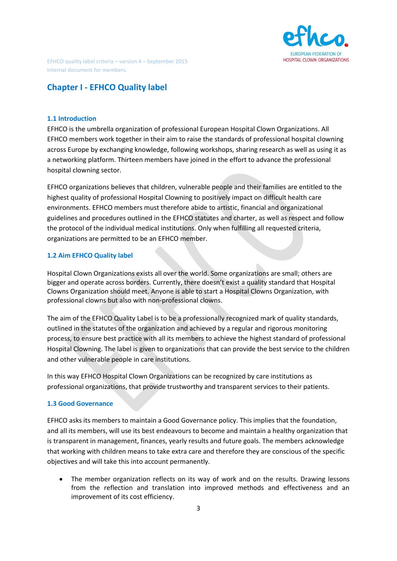

# **Chapter I - EFHCO Quality label**

#### **1.1 Introduction**

EFHCO is the umbrella organization of professional European Hospital Clown Organizations. All EFHCO members work together in their aim to raise the standards of professional hospital clowning across Europe by exchanging knowledge, following workshops, sharing research as well as using it as a networking platform. Thirteen members have joined in the effort to advance the professional hospital clowning sector.

EFHCO organizations believes that children, vulnerable people and their families are entitled to the highest quality of professional Hospital Clowning to positively impact on difficult health care environments. EFHCO members must therefore abide to artistic, financial and organizational guidelines and procedures outlined in the EFHCO statutes and charter, as well as respect and follow the protocol of the individual medical institutions. Only when fulfilling all requested criteria, organizations are permitted to be an EFHCO member.

#### **1.2 Aim EFHCO Quality label**

Hospital Clown Organizations exists all over the world. Some organizations are small; others are bigger and operate across borders. Currently, there doesn't exist a quality standard that Hospital Clowns Organization should meet. Anyone is able to start a Hospital Clowns Organization, with professional clowns but also with non-professional clowns.

The aim of the EFHCO Quality Label is to be a professionally recognized mark of quality standards, outlined in the statutes of the organization and achieved by a regular and rigorous monitoring process, to ensure best practice with all its members to achieve the highest standard of professional Hospital Clowning. The label is given to organizations that can provide the best service to the children and other vulnerable people in care institutions.

In this way EFHCO Hospital Clown Organizations can be recognized by care institutions as professional organizations, that provide trustworthy and transparent services to their patients.

#### **1.3 Good Governance**

EFHCO asks its members to maintain a Good Governance policy. This implies that the foundation, and all its members, will use its best endeavours to become and maintain a healthy organization that is transparent in management, finances, yearly results and future goals. The members acknowledge that working with children means to take extra care and therefore they are conscious of the specific objectives and will take this into account permanently.

• The member organization reflects on its way of work and on the results. Drawing lessons from the reflection and translation into improved methods and effectiveness and an improvement of its cost efficiency.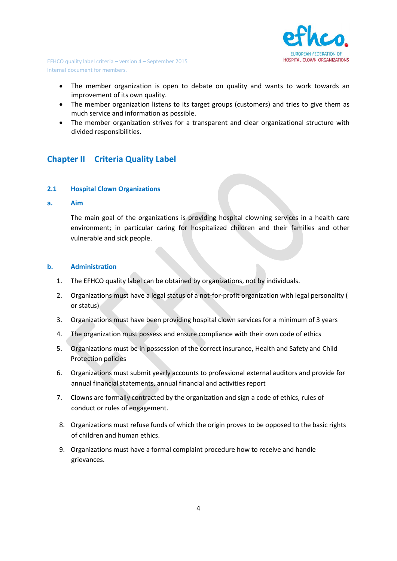

- The member organization is open to debate on quality and wants to work towards an improvement of its own quality.
- The member organization listens to its target groups (customers) and tries to give them as much service and information as possible.
- The member organization strives for a transparent and clear organizational structure with divided responsibilities.

# **Chapter II Criteria Quality Label**

## **2.1 Hospital Clown Organizations**

#### **a. Aim**

The main goal of the organizations is providing hospital clowning services in a health care environment; in particular caring for hospitalized children and their families and other vulnerable and sick people.

#### **b. Administration**

- 1. The EFHCO quality label can be obtained by organizations, not by individuals.
- 2. Organizations must have a legal status of a not-for-profit organization with legal personality ( or status)
- 3. Organizations must have been providing hospital clown services for a minimum of 3 years
- 4. The organization must possess and ensure compliance with their own code of ethics
- 5. Organizations must be in possession of the correct insurance, Health and Safety and Child Protection policies
- 6. Organizations must submit yearly accounts to professional external auditors and provide for annual financial statements, annual financial and activities report
- 7. Clowns are formally contracted by the organization and sign a code of ethics, rules of conduct or rules of engagement.
- 8. Organizations must refuse funds of which the origin proves to be opposed to the basic rights of children and human ethics.
- 9. Organizations must have a formal complaint procedure how to receive and handle grievances.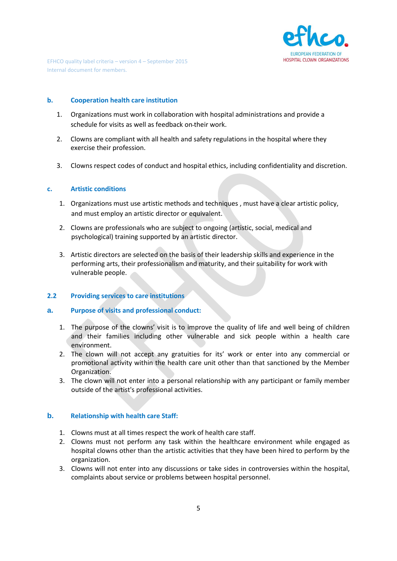

## **b. Cooperation health care institution**

- 1. Organizations must work in collaboration with hospital administrations and provide a schedule for visits as well as feedback on their work.
- 2. Clowns are compliant with all health and safety regulations in the hospital where they exercise their profession.
- 3. Clowns respect codes of conduct and hospital ethics, including confidentiality and discretion.

## **c. Artistic conditions**

- 1. Organizations must use artistic methods and techniques , must have a clear artistic policy, and must employ an artistic director or equivalent.
- 2. Clowns are professionals who are subject to ongoing (artistic, social, medical and psychological) training supported by an artistic director.
- 3. Artistic directors are selected on the basis of their leadership skills and experience in the performing arts, their professionalism and maturity, and their suitability for work with vulnerable people.

# **2.2 Providing services to care institutions**

## **a. Purpose of visits and professional conduct:**

- 1. The purpose of the clowns' visit is to improve the quality of life and well being of children and their families including other vulnerable and sick people within a health care environment.
- 2. The clown will not accept any gratuities for its' work or enter into any commercial or promotional activity within the health care unit other than that sanctioned by the Member Organization.
- 3. The clown will not enter into a personal relationship with any participant or family member outside of the artist's professional activities.

## **b. Relationship with health care Staff:**

- 1. Clowns must at all times respect the work of health care staff.
- 2. Clowns must not perform any task within the healthcare environment while engaged as hospital clowns other than the artistic activities that they have been hired to perform by the organization.
- 3. Clowns will not enter into any discussions or take sides in controversies within the hospital, complaints about service or problems between hospital personnel.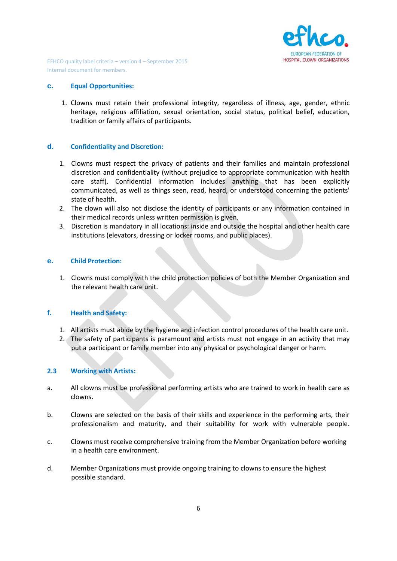

#### **c. Equal Opportunities:**

1. Clowns must retain their professional integrity, regardless of illness, age, gender, ethnic heritage, religious affiliation, sexual orientation, social status, political belief, education, tradition or family affairs of participants.

## **d. Confidentiality and Discretion:**

- 1. Clowns must respect the privacy of patients and their families and maintain professional discretion and confidentiality (without prejudice to appropriate communication with health care staff). Confidential information includes anything that has been explicitly communicated, as well as things seen, read, heard, or understood concerning the patients' state of health.
- 2. The clown will also not disclose the identity of participants or any information contained in their medical records unless written permission is given.
- 3. Discretion is mandatory in all locations: inside and outside the hospital and other health care institutions (elevators, dressing or locker rooms, and public places).

## **e. Child Protection:**

1. Clowns must comply with the child protection policies of both the Member Organization and the relevant health care unit.

## **f. Health and Safety:**

- 1. All artists must abide by the hygiene and infection control procedures of the health care unit.
- 2. The safety of participants is paramount and artists must not engage in an activity that may put a participant or family member into any physical or psychological danger or harm.

#### **2.3 Working with Artists:**

- a. All clowns must be professional performing artists who are trained to work in health care as clowns.
- b. Clowns are selected on the basis of their skills and experience in the performing arts, their professionalism and maturity, and their suitability for work with vulnerable people.
- c. Clowns must receive comprehensive training from the Member Organization before working in a health care environment.
- d. Member Organizations must provide ongoing training to clowns to ensure the highest possible standard.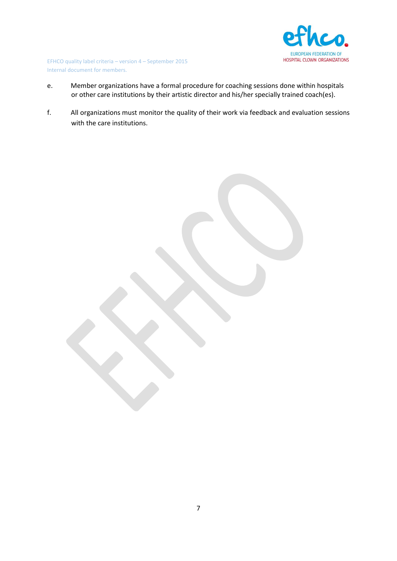

- e. Member organizations have a formal procedure for coaching sessions done within hospitals or other care institutions by their artistic director and his/her specially trained coach(es).
- f. All organizations must monitor the quality of their work via feedback and evaluation sessions with the care institutions.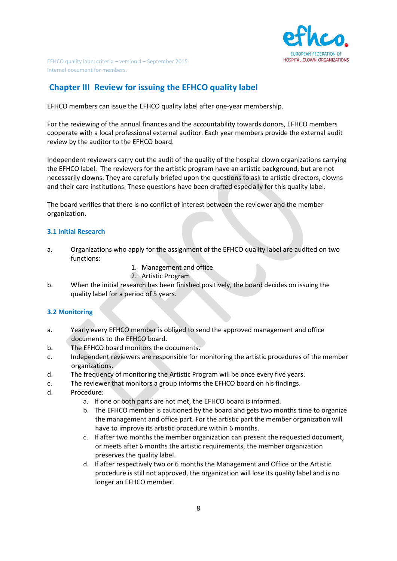

# **Chapter III Review for issuing the EFHCO quality label**

EFHCO members can issue the EFHCO quality label after one-year membership.

For the reviewing of the annual finances and the accountability towards donors, EFHCO members cooperate with a local professional external auditor. Each year members provide the external audit review by the auditor to the EFHCO board.

Independent reviewers carry out the audit of the quality of the hospital clown organizations carrying the EFHCO label. The reviewers for the artistic program have an artistic background, but are not necessarily clowns. They are carefully briefed upon the questions to ask to artistic directors, clowns and their care institutions. These questions have been drafted especially for this quality label.

The board verifies that there is no conflict of interest between the reviewer and the member organization.

## **3.1 Initial Research**

- a. Organizations who apply for the assignment of the EFHCO quality label are audited on two functions:
	- 1. Management and office
	- 2. Artistic Program
- b. When the initial research has been finished positively, the board decides on issuing the quality label for a period of 5 years.

## **3.2 Monitoring**

- a. Yearly every EFHCO member is obliged to send the approved management and office documents to the EFHCO board.
- b. The EFHCO board monitors the documents.
- c. Independent reviewers are responsible for monitoring the artistic procedures of the member organizations.
- d. The frequency of monitoring the Artistic Program will be once every five years.
- c. The reviewer that monitors a group informs the EFHCO board on his findings.
- d. Procedure:
	- a. If one or both parts are not met, the EFHCO board is informed.
	- b. The EFHCO member is cautioned by the board and gets two months time to organize the management and office part. For the artistic part the member organization will have to improve its artistic procedure within 6 months.
	- c. If after two months the member organization can present the requested document, or meets after 6 months the artistic requirements, the member organization preserves the quality label.
	- d. If after respectively two or 6 months the Management and Office or the Artistic procedure is still not approved, the organization will lose its quality label and is no longer an EFHCO member.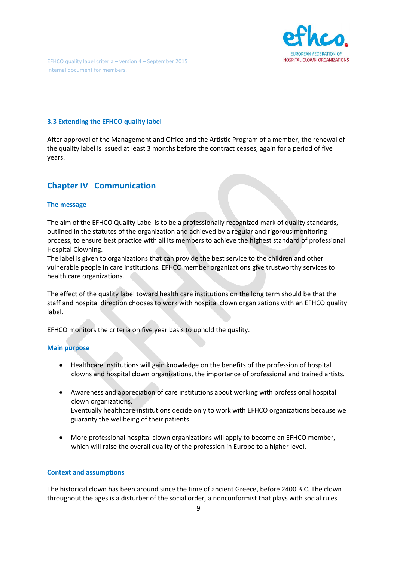

## **3.3 Extending the EFHCO quality label**

After approval of the Management and Office and the Artistic Program of a member, the renewal of the quality label is issued at least 3 months before the contract ceases, again for a period of five years.

# **Chapter IV Communication**

#### **The message**

The aim of the EFHCO Quality Label is to be a professionally recognized mark of quality standards, outlined in the statutes of the organization and achieved by a regular and rigorous monitoring process, to ensure best practice with all its members to achieve the highest standard of professional Hospital Clowning.

The label is given to organizations that can provide the best service to the children and other vulnerable people in care institutions. EFHCO member organizations give trustworthy services to health care organizations.

The effect of the quality label toward health care institutions on the long term should be that the staff and hospital direction chooses to work with hospital clown organizations with an EFHCO quality label.

EFHCO monitors the criteria on five year basis to uphold the quality.

#### **Main purpose**

- Healthcare institutions will gain knowledge on the benefits of the profession of hospital clowns and hospital clown organizations, the importance of professional and trained artists.
- Awareness and appreciation of care institutions about working with professional hospital clown organizations. Eventually healthcare institutions decide only to work with EFHCO organizations because we guaranty the wellbeing of their patients.
- More professional hospital clown organizations will apply to become an EFHCO member, which will raise the overall quality of the profession in Europe to a higher level.

#### **Context and assumptions**

The historical clown has been around since the time of ancient Greece, before 2400 B.C. The clown throughout the ages is a disturber of the social order, a nonconformist that plays with social rules